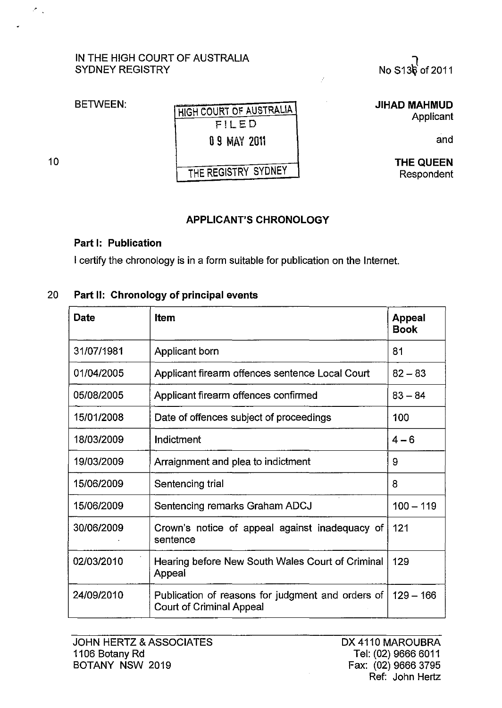## IN THE HIGH COURT OF AUSTRALIA SYDNEY REGISTRY



**BETWEEN:** 

HIGH COURT OF AUSTRALIA F!LED 09 MAY 2011

 $\hat{\vec{r}}$ 

THE REGISTRY SYDNEY

10

 $\mathcal{E}_{\rm{tot}}$ 

JIHAD MAHMUD Applicant

and

THE QUEEN Respondent

## APPLICANT'S CHRONOLOGY

## Part I: Publication

I certify the chronology is in a form suitable for publication on the Internet.

## 20 Part II: Chronology of principal events

| <b>Date</b> | <b>Item</b>                                                                          | <b>Appeal</b><br><b>Book</b> |
|-------------|--------------------------------------------------------------------------------------|------------------------------|
| 31/07/1981  | Applicant born                                                                       | 81                           |
| 01/04/2005  | Applicant firearm offences sentence Local Court                                      | $82 - 83$                    |
| 05/08/2005  | Applicant firearm offences confirmed                                                 | $83 - 84$                    |
| 15/01/2008  | Date of offences subject of proceedings                                              | 100                          |
| 18/03/2009  | Indictment                                                                           | $4 - 6$                      |
| 19/03/2009  | Arraignment and plea to indictment                                                   | 9                            |
| 15/06/2009  | Sentencing trial                                                                     | 8                            |
| 15/06/2009  | Sentencing remarks Graham ADCJ                                                       | $100 - 119$                  |
| 30/06/2009  | Crown's notice of appeal against inadequacy of<br>sentence                           | 121                          |
| 02/03/2010  | Hearing before New South Wales Court of Criminal<br>Appeal                           | 129                          |
| 24/09/2010  | Publication of reasons for judgment and orders of<br><b>Court of Criminal Appeal</b> | $129 - 166$                  |